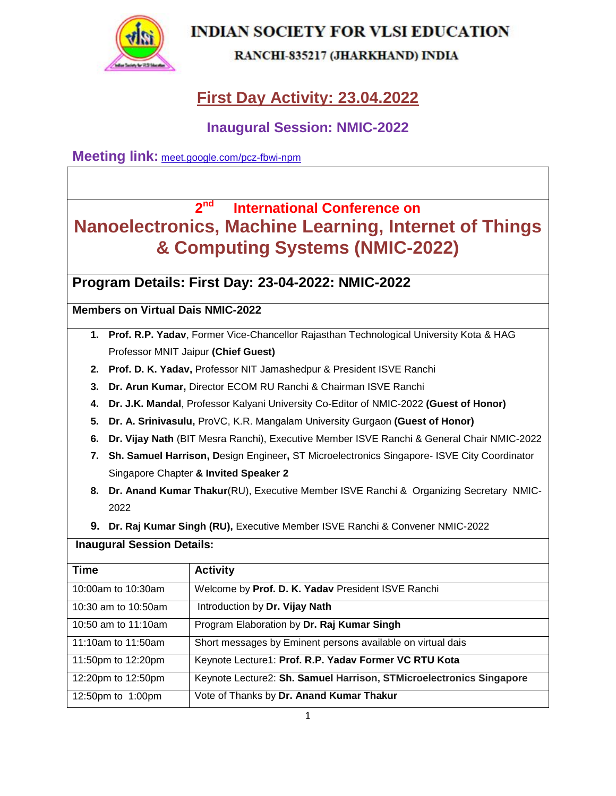

#### RANCHI-835217 (JHARKHAND) INDIA

# **First Day Activity: 23.04.2022**

### **Inaugural Session: NMIC-2022**

**Meeting link:** [meet.google.com/pcz-fbwi-npm](https://meet.google.com/pcz-fbwi-npm?hs=224)

#### **2 nd International Conference on Nanoelectronics, Machine Learning, Internet of Things & Computing Systems (NMIC-2022)**

**Program Details: First Day: 23-04-2022: NMIC-2022**

#### **Members on Virtual Dais NMIC-2022**

- **1. Prof. R.P. Yadav**, Former Vice-Chancellor Rajasthan Technological University Kota & HAG Professor MNIT Jaipur **(Chief Guest)**
- **2. Prof. D. K. Yadav,** Professor NIT Jamashedpur & President ISVE Ranchi
- **3. Dr. Arun Kumar,** Director ECOM RU Ranchi & Chairman ISVE Ranchi
- **4. Dr. J.K. Mandal**, Professor Kalyani University Co-Editor of NMIC-2022 **(Guest of Honor)**
- **5. Dr. A. Srinivasulu,** ProVC, K.R. Mangalam University Gurgaon **(Guest of Honor)**
- **6. Dr. Vijay Nath** (BIT Mesra Ranchi), Executive Member ISVE Ranchi & General Chair NMIC-2022
- **7. Sh. Samuel Harrison, D**esign Engineer**,** ST Microelectronics Singapore- ISVE City Coordinator Singapore Chapter **& Invited Speaker 2**
- **8. Dr. Anand Kumar Thakur**(RU), Executive Member ISVE Ranchi & Organizing Secretary NMIC-2022
- **9. Dr. Raj Kumar Singh (RU),** Executive Member ISVE Ranchi & Convener NMIC-2022

#### **Inaugural Session Details:**

| <b>Time</b>         | <b>Activity</b>                                                     |
|---------------------|---------------------------------------------------------------------|
| 10:00am to 10:30am  | Welcome by Prof. D. K. Yadav President ISVE Ranchi                  |
| 10:30 am to 10:50am | Introduction by Dr. Vijay Nath                                      |
| 10:50 am to 11:10am | Program Elaboration by Dr. Raj Kumar Singh                          |
| 11:10am to 11:50am  | Short messages by Eminent persons available on virtual dais         |
| 11:50pm to 12:20pm  | Keynote Lecture1: Prof. R.P. Yadav Former VC RTU Kota               |
| 12:20pm to 12:50pm  | Keynote Lecture2: Sh. Samuel Harrison, STMicroelectronics Singapore |
| 12:50pm to 1:00pm   | Vote of Thanks by Dr. Anand Kumar Thakur                            |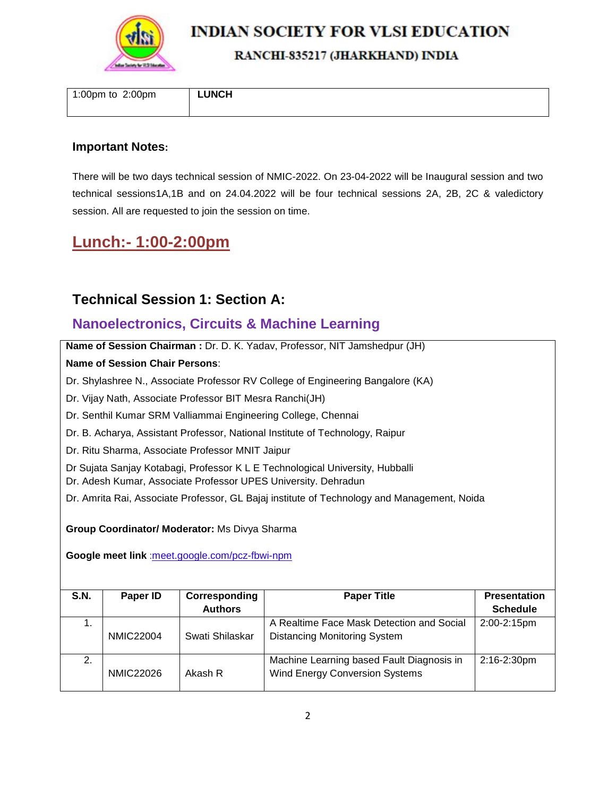

#### RANCHI-835217 (JHARKHAND) INDIA

1:00pm to 2:00pm **LUNCH**

#### **Important Notes:**

There will be two days technical session of NMIC-2022. On 23-04-2022 will be Inaugural session and two technical sessions1A,1B and on 24.04.2022 will be four technical sessions 2A, 2B, 2C & valedictory session. All are requested to join the session on time.

### **Lunch:- 1:00-2:00pm**

### **Technical Session 1: Section A:**

### **Nanoelectronics, Circuits & Machine Learning**

**Name of Session Chairman :** Dr. D. K. Yadav, Professor, NIT Jamshedpur (JH)

#### **Name of Session Chair Persons**:

Dr. Shylashree N., Associate Professor RV College of Engineering Bangalore (KA)

Dr. Vijay Nath, Associate Professor BIT Mesra Ranchi(JH)

Dr. Senthil Kumar SRM Valliammai Engineering College, Chennai

Dr. B. Acharya, Assistant Professor, National Institute of Technology, Raipur

Dr. Ritu Sharma, Associate Professor MNIT Jaipur

Dr Sujata Sanjay Kotabagi, Professor K L E Technological University, Hubballi

Dr. Adesh Kumar, Associate Professor UPES University. Dehradun

Dr. Amrita Rai, Associate Professor, GL Bajaj institute of Technology and Management, Noida

**Group Coordinator/ Moderator:** Ms Divya Sharma

**Google meet link** :[meet.google.com/pcz-fbwi-npm](https://meet.google.com/pcz-fbwi-npm?hs=224)

| <b>S.N.</b> | Paper ID         | Corresponding   | <b>Paper Title</b>                                                                 | <b>Presentation</b> |
|-------------|------------------|-----------------|------------------------------------------------------------------------------------|---------------------|
|             |                  | <b>Authors</b>  |                                                                                    | <b>Schedule</b>     |
| 1.          | <b>NMIC22004</b> | Swati Shilaskar | A Realtime Face Mask Detection and Social<br><b>Distancing Monitoring System</b>   | 2:00-2:15pm         |
| 2.          | <b>NMIC22026</b> | Akash R         | Machine Learning based Fault Diagnosis in<br><b>Wind Energy Conversion Systems</b> | $2:16 - 2:30$ pm    |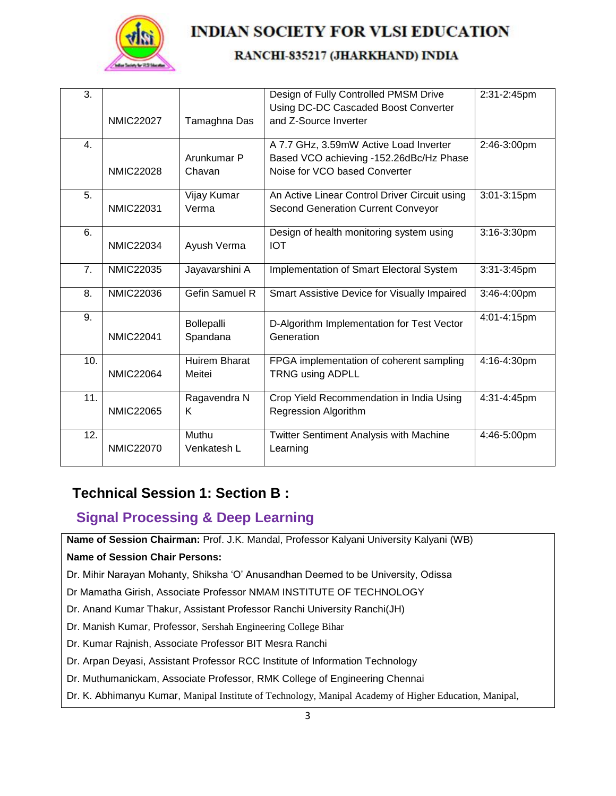

#### RANCHI-835217 (JHARKHAND) INDIA

| 3.               | <b>NMIC22027</b> | Tamaghna Das                   | Design of Fully Controlled PMSM Drive<br>Using DC-DC Cascaded Boost Converter<br>and Z-Source Inverter             | 2:31-2:45pm |
|------------------|------------------|--------------------------------|--------------------------------------------------------------------------------------------------------------------|-------------|
| $\overline{4}$ . | <b>NMIC22028</b> | Arunkumar P<br>Chavan          | A 7.7 GHz, 3.59mW Active Load Inverter<br>Based VCO achieving -152.26dBc/Hz Phase<br>Noise for VCO based Converter | 2:46-3:00pm |
| 5.               | <b>NMIC22031</b> | Vijay Kumar<br>Verma           | An Active Linear Control Driver Circuit using<br><b>Second Generation Current Conveyor</b>                         | 3:01-3:15pm |
| 6.               | <b>NMIC22034</b> | Ayush Verma                    | Design of health monitoring system using<br><b>IOT</b>                                                             | 3:16-3:30pm |
| 7.               | <b>NMIC22035</b> | Jayavarshini A                 | Implementation of Smart Electoral System                                                                           | 3:31-3:45pm |
| 8.               | <b>NMIC22036</b> | <b>Gefin Samuel R</b>          | Smart Assistive Device for Visually Impaired                                                                       | 3:46-4:00pm |
| 9.               | <b>NMIC22041</b> | Bollepalli<br>Spandana         | D-Algorithm Implementation for Test Vector<br>Generation                                                           | 4:01-4:15pm |
| 10.              | <b>NMIC22064</b> | <b>Huirem Bharat</b><br>Meitei | FPGA implementation of coherent sampling<br><b>TRNG using ADPLL</b>                                                | 4:16-4:30pm |
| 11.              | <b>NMIC22065</b> | Ragavendra N<br>K              | Crop Yield Recommendation in India Using<br>Regression Algorithm                                                   | 4:31-4:45pm |
| 12.              | <b>NMIC22070</b> | Muthu<br>Venkatesh L           | <b>Twitter Sentiment Analysis with Machine</b><br>Learning                                                         | 4:46-5:00pm |

### **Technical Session 1: Section B :**

#### **Signal Processing & Deep Learning**

**Name of Session Chairman:** Prof. J.K. Mandal, Professor Kalyani University Kalyani (WB)

#### **Name of Session Chair Persons:**

Dr. Mihir Narayan Mohanty, Shiksha 'O' Anusandhan Deemed to be University, Odissa

Dr Mamatha Girish, Associate Professor NMAM INSTITUTE OF TECHNOLOGY

Dr. Anand Kumar Thakur, Assistant Professor Ranchi University Ranchi(JH)

Dr. Manish Kumar, Professor, Sershah Engineering College Bihar

Dr. Kumar Rajnish, Associate Professor BIT Mesra Ranchi

- Dr. Arpan Deyasi, Assistant Professor RCC Institute of Information Technology
- Dr. Muthumanickam, Associate Professor, RMK College of Engineering Chennai
- Dr. K. Abhimanyu Kumar, Manipal Institute of Technology, Manipal Academy of Higher Education, Manipal,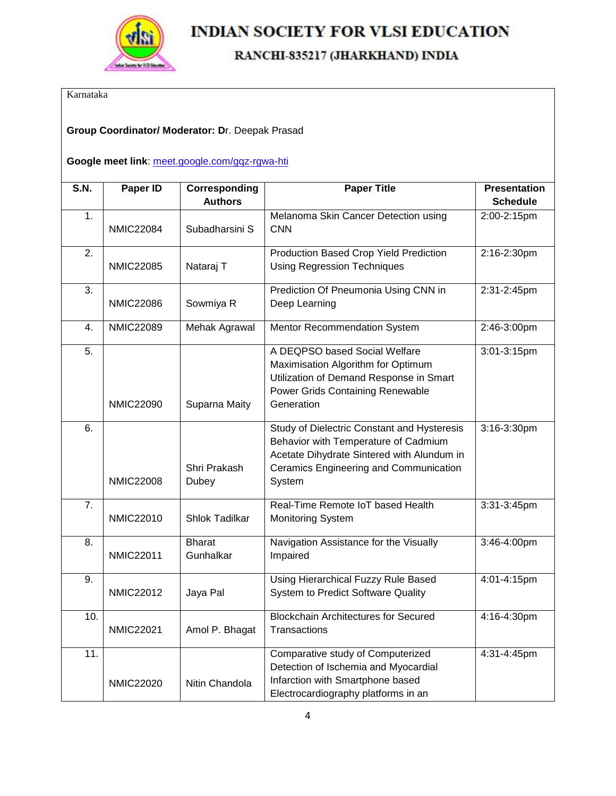

### RANCHI-835217 (JHARKHAND) INDIA

Karnataka

#### **Group Coordinator/ Moderator: D**r. Deepak Prasad

#### **Google meet link**: [meet.google.com/gqz-rgwa-hti](https://meet.google.com/gqz-rgwa-hti?hs=224)

| $\overline{S.N}$ . | Paper ID         | Corresponding              | <b>Paper Title</b>                                                                                                                                                                    | <b>Presentation</b> |
|--------------------|------------------|----------------------------|---------------------------------------------------------------------------------------------------------------------------------------------------------------------------------------|---------------------|
|                    |                  | <b>Authors</b>             |                                                                                                                                                                                       | <b>Schedule</b>     |
| 1.                 | <b>NMIC22084</b> | Subadharsini S             | Melanoma Skin Cancer Detection using<br><b>CNN</b>                                                                                                                                    | 2:00-2:15pm         |
| $\overline{2}$ .   | <b>NMIC22085</b> | Nataraj T                  | <b>Production Based Crop Yield Prediction</b><br><b>Using Regression Techniques</b>                                                                                                   | 2:16-2:30pm         |
| 3.                 | <b>NMIC22086</b> | Sowmiya R                  | Prediction Of Pneumonia Using CNN in<br>Deep Learning                                                                                                                                 | 2:31-2:45pm         |
| 4.                 | <b>NMIC22089</b> | Mehak Agrawal              | Mentor Recommendation System                                                                                                                                                          | 2:46-3:00pm         |
| 5.                 | <b>NMIC22090</b> | Suparna Maity              | A DEQPSO based Social Welfare<br>Maximisation Algorithm for Optimum<br>Utilization of Demand Response in Smart<br>Power Grids Containing Renewable<br>Generation                      | 3:01-3:15pm         |
| 6.                 | <b>NMIC22008</b> | Shri Prakash<br>Dubey      | Study of Dielectric Constant and Hysteresis<br>Behavior with Temperature of Cadmium<br>Acetate Dihydrate Sintered with Alundum in<br>Ceramics Engineering and Communication<br>System | 3:16-3:30pm         |
| $\overline{7}$ .   | <b>NMIC22010</b> | Shlok Tadilkar             | Real-Time Remote IoT based Health<br><b>Monitoring System</b>                                                                                                                         | 3:31-3:45pm         |
| 8.                 | <b>NMIC22011</b> | <b>Bharat</b><br>Gunhalkar | Navigation Assistance for the Visually<br>Impaired                                                                                                                                    | 3:46-4:00pm         |
| 9.                 | <b>NMIC22012</b> | Jaya Pal                   | Using Hierarchical Fuzzy Rule Based<br>System to Predict Software Quality                                                                                                             | 4:01-4:15pm         |
| 10.                | <b>NMIC22021</b> | Amol P. Bhagat             | <b>Blockchain Architectures for Secured</b><br>Transactions                                                                                                                           | 4:16-4:30pm         |
| 11.                | <b>NMIC22020</b> | Nitin Chandola             | Comparative study of Computerized<br>Detection of Ischemia and Myocardial<br>Infarction with Smartphone based<br>Electrocardiography platforms in an                                  | 4:31-4:45pm         |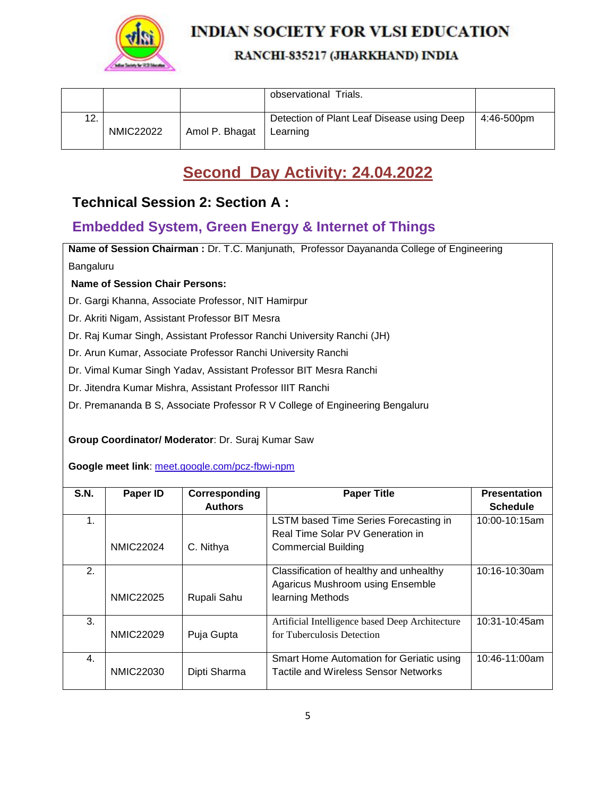

#### RANCHI-835217 (JHARKHAND) INDIA

|     |                  |                | observational Trials.                                  |            |
|-----|------------------|----------------|--------------------------------------------------------|------------|
| 12. | <b>NMIC22022</b> | Amol P. Bhagat | Detection of Plant Leaf Disease using Deep<br>Learning | 4:46-500pm |

# **Second Day Activity: 24.04.2022**

### **Technical Session 2: Section A :**

### **Embedded System, Green Energy & Internet of Things**

**Name of Session Chairman :** Dr. T.C. Manjunath, Professor Dayananda College of Engineering Bangaluru

#### **Name of Session Chair Persons:**

Dr. Gargi Khanna, Associate Professor, NIT Hamirpur

Dr. Akriti Nigam, Assistant Professor BIT Mesra

- Dr. Raj Kumar Singh, Assistant Professor Ranchi University Ranchi (JH)
- Dr. Arun Kumar, Associate Professor Ranchi University Ranchi

Dr. Vimal Kumar Singh Yadav, Assistant Professor BIT Mesra Ranchi

Dr. Jitendra Kumar Mishra, Assistant Professor IIIT Ranchi

Dr. Premananda B S, Associate Professor R V College of Engineering Bengaluru

#### **Group Coordinator/ Moderator**: Dr. Suraj Kumar Saw

**Google meet link**: [meet.google.com/pcz-fbwi-npm](https://meet.google.com/pcz-fbwi-npm?hs=224)

| <b>S.N.</b> | Paper ID         | Corresponding  | <b>Paper Title</b>                              | <b>Presentation</b> |
|-------------|------------------|----------------|-------------------------------------------------|---------------------|
|             |                  | <b>Authors</b> |                                                 | <b>Schedule</b>     |
| 1.          |                  |                | LSTM based Time Series Forecasting in           | 10:00-10:15am       |
|             |                  |                | Real Time Solar PV Generation in                |                     |
|             | <b>NMIC22024</b> | C. Nithya      | <b>Commercial Building</b>                      |                     |
|             |                  |                |                                                 |                     |
| 2.          |                  |                | Classification of healthy and unhealthy         | 10:16-10:30am       |
|             |                  |                | Agaricus Mushroom using Ensemble                |                     |
|             | <b>NMIC22025</b> | Rupali Sahu    | learning Methods                                |                     |
| 3.          |                  |                | Artificial Intelligence based Deep Architecture | 10:31-10:45am       |
|             | <b>NMIC22029</b> | Puja Gupta     | for Tuberculosis Detection                      |                     |
|             |                  |                |                                                 |                     |
| 4.          |                  |                | Smart Home Automation for Geriatic using        | 10:46-11:00am       |
|             | <b>NMIC22030</b> | Dipti Sharma   | <b>Tactile and Wireless Sensor Networks</b>     |                     |
|             |                  |                |                                                 |                     |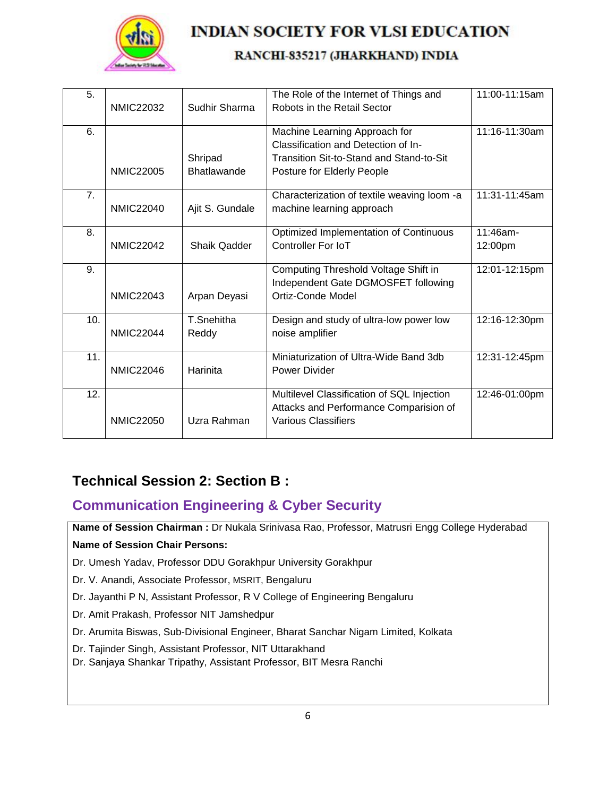

#### RANCHI-835217 (JHARKHAND) INDIA

| 5.  |                  |                    | The Role of the Internet of Things and      | 11:00-11:15am |
|-----|------------------|--------------------|---------------------------------------------|---------------|
|     | <b>NMIC22032</b> | Sudhir Sharma      | Robots in the Retail Sector                 |               |
| 6.  |                  |                    | Machine Learning Approach for               | 11:16-11:30am |
|     |                  |                    | Classification and Detection of In-         |               |
|     |                  | Shripad            | Transition Sit-to-Stand and Stand-to-Sit    |               |
|     | <b>NMIC22005</b> | <b>Bhatlawande</b> | Posture for Elderly People                  |               |
| 7.  |                  |                    | Characterization of textile weaving loom -a | 11:31-11:45am |
|     | <b>NMIC22040</b> | Ajit S. Gundale    | machine learning approach                   |               |
| 8.  |                  |                    | Optimized Implementation of Continuous      | 11:46am-      |
|     | <b>NMIC22042</b> | Shaik Qadder       | Controller For IoT                          | 12:00pm       |
| 9.  |                  |                    | Computing Threshold Voltage Shift in        | 12:01-12:15pm |
|     |                  |                    | Independent Gate DGMOSFET following         |               |
|     | <b>NMIC22043</b> | Arpan Deyasi       | <b>Ortiz-Conde Model</b>                    |               |
| 10. |                  | T.Snehitha         | Design and study of ultra-low power low     | 12:16-12:30pm |
|     | <b>NMIC22044</b> | Reddy              | noise amplifier                             |               |
| 11. |                  |                    | Miniaturization of Ultra-Wide Band 3db      | 12:31-12:45pm |
|     | <b>NMIC22046</b> | Harinita           | Power Divider                               |               |
| 12. |                  |                    | Multilevel Classification of SQL Injection  | 12:46-01:00pm |
|     |                  |                    | Attacks and Performance Comparision of      |               |
|     | <b>NMIC22050</b> | Uzra Rahman        | <b>Various Classifiers</b>                  |               |

## **Technical Session 2: Section B :**

## **Communication Engineering & Cyber Security**

**Name of Session Chairman :** Dr Nukala Srinivasa Rao, Professor, Matrusri Engg College Hyderabad **Name of Session Chair Persons:**

Dr. Umesh Yadav, Professor DDU Gorakhpur University Gorakhpur

Dr. V. Anandi, Associate Professor, MSRIT, Bengaluru

- Dr. Jayanthi P N, Assistant Professor, R V College of Engineering Bengaluru
- Dr. Amit Prakash, Professor NIT Jamshedpur
- Dr. Arumita Biswas, Sub-Divisional Engineer, Bharat Sanchar Nigam Limited, Kolkata
- Dr. Tajinder Singh, Assistant Professor, NIT Uttarakhand
- Dr. Sanjaya Shankar Tripathy, Assistant Professor, BIT Mesra Ranchi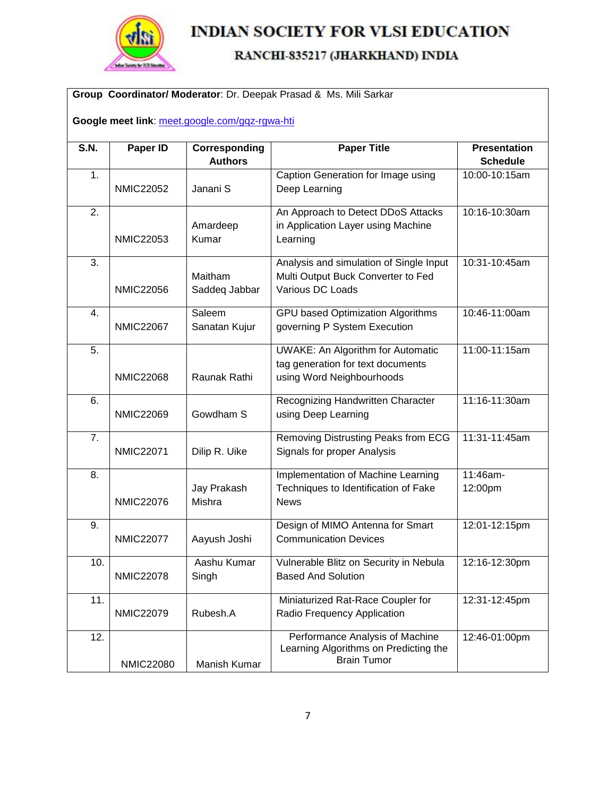

### RANCHI-835217 (JHARKHAND) INDIA

#### **Group Coordinator/ Moderator**: Dr. Deepak Prasad & Ms. Mili Sarkar

**Google meet link**: [meet.google.com/gqz-rgwa-hti](https://meet.google.com/gqz-rgwa-hti?hs=224)

| <b>S.N.</b>      | Paper ID         | Corresponding<br><b>Authors</b> | <b>Paper Title</b>                       | <b>Presentation</b><br><b>Schedule</b> |
|------------------|------------------|---------------------------------|------------------------------------------|----------------------------------------|
| 1.               |                  |                                 | Caption Generation for Image using       | 10:00-10:15am                          |
|                  | <b>NMIC22052</b> | Janani S                        | Deep Learning                            |                                        |
| 2.               |                  |                                 | An Approach to Detect DDoS Attacks       | 10:16-10:30am                          |
|                  |                  | Amardeep                        | in Application Layer using Machine       |                                        |
|                  | <b>NMIC22053</b> | Kumar                           | Learning                                 |                                        |
| 3.               |                  |                                 | Analysis and simulation of Single Input  | 10:31-10:45am                          |
|                  |                  | Maitham                         | Multi Output Buck Converter to Fed       |                                        |
|                  | <b>NMIC22056</b> | Saddeq Jabbar                   | Various DC Loads                         |                                        |
| 4.               |                  | Saleem                          | <b>GPU based Optimization Algorithms</b> | 10:46-11:00am                          |
|                  | <b>NMIC22067</b> | Sanatan Kujur                   | governing P System Execution             |                                        |
| 5.               |                  |                                 | <b>UWAKE: An Algorithm for Automatic</b> | 11:00-11:15am                          |
|                  |                  |                                 | tag generation for text documents        |                                        |
|                  | <b>NMIC22068</b> | Raunak Rathi                    | using Word Neighbourhoods                |                                        |
| 6.               |                  |                                 | Recognizing Handwritten Character        | 11:16-11:30am                          |
|                  | <b>NMIC22069</b> | Gowdham S                       | using Deep Learning                      |                                        |
| $\overline{7}$ . |                  |                                 | Removing Distrusting Peaks from ECG      | 11:31-11:45am                          |
|                  | <b>NMIC22071</b> | Dilip R. Uike                   | Signals for proper Analysis              |                                        |
| 8.               |                  |                                 | Implementation of Machine Learning       | 11:46am-                               |
|                  |                  | Jay Prakash                     | Techniques to Identification of Fake     | 12:00pm                                |
|                  | <b>NMIC22076</b> | Mishra                          | <b>News</b>                              |                                        |
| 9.               |                  |                                 | Design of MIMO Antenna for Smart         | 12:01-12:15pm                          |
|                  | <b>NMIC22077</b> | Aayush Joshi                    | <b>Communication Devices</b>             |                                        |
| 10.              |                  | Aashu Kumar                     | Vulnerable Blitz on Security in Nebula   | 12:16-12:30pm                          |
|                  | <b>NMIC22078</b> | Singh                           | <b>Based And Solution</b>                |                                        |
| 11.              |                  |                                 | Miniaturized Rat-Race Coupler for        | 12:31-12:45pm                          |
|                  | <b>NMIC22079</b> | Rubesh.A                        | Radio Frequency Application              |                                        |
| 12.              |                  |                                 | Performance Analysis of Machine          | 12:46-01:00pm                          |
|                  |                  |                                 | Learning Algorithms on Predicting the    |                                        |
|                  | <b>NMIC22080</b> | Manish Kumar                    | <b>Brain Tumor</b>                       |                                        |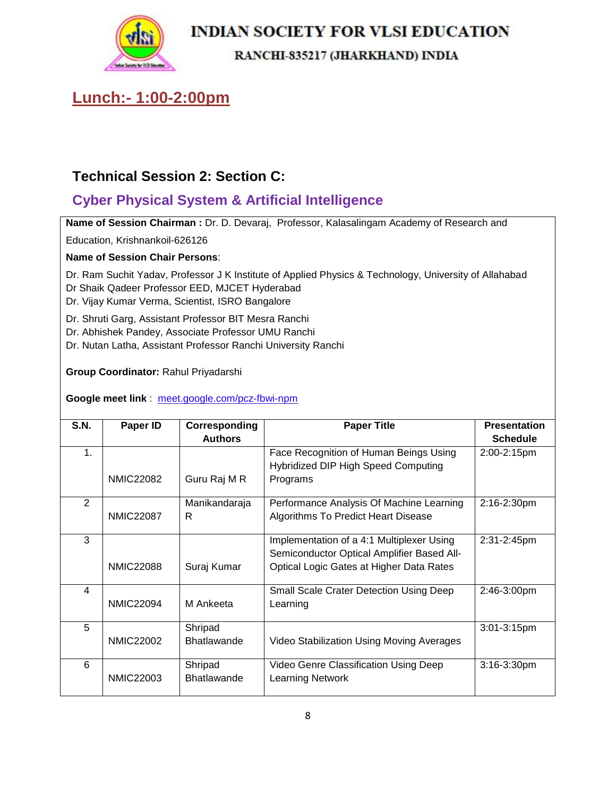

#### RANCHI-835217 (JHARKHAND) INDIA

# **Lunch:- 1:00-2:00pm**

## **Technical Session 2: Section C:**

# **Cyber Physical System & Artificial Intelligence**

**Name of Session Chairman :** Dr. D. Devaraj, Professor, Kalasalingam Academy of Research and

Education, Krishnankoil-626126

**Name of Session Chair Persons**:

Dr. Ram Suchit Yadav, Professor J K Institute of Applied Physics & Technology, University of Allahabad

Dr Shaik Qadeer Professor EED, MJCET Hyderabad

Dr. Vijay Kumar Verma, Scientist, ISRO Bangalore

Dr. Shruti Garg, Assistant Professor BIT Mesra Ranchi

Dr. Abhishek Pandey, Associate Professor UMU Ranchi

Dr. Nutan Latha, Assistant Professor Ranchi University Ranchi

**Group Coordinator:** Rahul Priyadarshi

**Google meet link** : [meet.google.com/pcz-fbwi-npm](https://meet.google.com/pcz-fbwi-npm?hs=224)

| <b>S.N.</b>    | Paper ID         | Corresponding      | <b>Paper Title</b>                             | <b>Presentation</b> |
|----------------|------------------|--------------------|------------------------------------------------|---------------------|
|                |                  | <b>Authors</b>     |                                                | <b>Schedule</b>     |
| 1.             |                  |                    | Face Recognition of Human Beings Using         | 2:00-2:15pm         |
|                |                  |                    | Hybridized DIP High Speed Computing            |                     |
|                | <b>NMIC22082</b> | Guru Raj M R       | Programs                                       |                     |
| $\overline{2}$ |                  | Manikandaraja      | Performance Analysis Of Machine Learning       | 2:16-2:30pm         |
|                | <b>NMIC22087</b> | R                  | Algorithms To Predict Heart Disease            |                     |
| 3              |                  |                    | Implementation of a 4:1 Multiplexer Using      | 2:31-2:45pm         |
|                |                  |                    | Semiconductor Optical Amplifier Based All-     |                     |
|                | <b>NMIC22088</b> | Suraj Kumar        | Optical Logic Gates at Higher Data Rates       |                     |
| $\overline{4}$ |                  |                    | <b>Small Scale Crater Detection Using Deep</b> | $2:46-3:00$ pm      |
|                | <b>NMIC22094</b> | M Ankeeta          | Learning                                       |                     |
| 5              |                  | Shripad            |                                                | 3:01-3:15pm         |
|                | <b>NMIC22002</b> | <b>Bhatlawande</b> | Video Stabilization Using Moving Averages      |                     |
| 6              |                  | Shripad            | Video Genre Classification Using Deep          | $3:16 - 3:30$ pm    |
|                | <b>NMIC22003</b> | <b>Bhatlawande</b> | <b>Learning Network</b>                        |                     |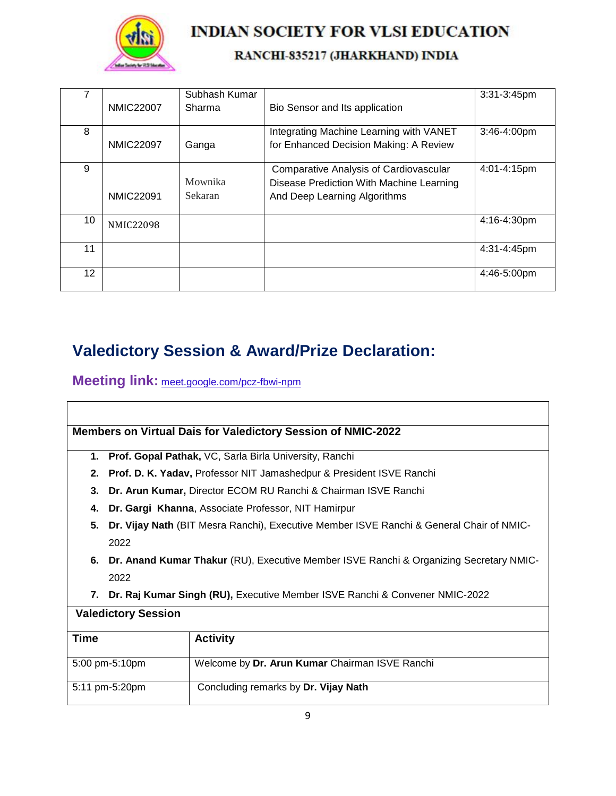

### RANCHI-835217 (JHARKHAND) INDIA

|    | <b>NMIC22007</b> | Subhash Kumar<br>Sharma   | Bio Sensor and Its application                                                                                            | $3:31-3:45$ pm   |
|----|------------------|---------------------------|---------------------------------------------------------------------------------------------------------------------------|------------------|
| 8  | <b>NMIC22097</b> | Ganga                     | Integrating Machine Learning with VANET<br>for Enhanced Decision Making: A Review                                         | 3:46-4:00pm      |
| 9  | <b>NMIC22091</b> | Mownika<br><b>Sekaran</b> | <b>Comparative Analysis of Cardiovascular</b><br>Disease Prediction With Machine Learning<br>And Deep Learning Algorithms | 4:01-4:15pm      |
| 10 | <b>NMIC22098</b> |                           |                                                                                                                           | 4:16-4:30pm      |
| 11 |                  |                           |                                                                                                                           | $4:31 - 4:45$ pm |
| 12 |                  |                           |                                                                                                                           | 4:46-5:00pm      |

# **Valedictory Session & Award/Prize Declaration:**

**Meeting link:** [meet.google.com/pcz-fbwi-npm](https://meet.google.com/pcz-fbwi-npm?hs=224)

|             |                                                                                        | <b>Members on Virtual Dais for Valedictory Session of NMIC-2022</b>                      |  |  |  |
|-------------|----------------------------------------------------------------------------------------|------------------------------------------------------------------------------------------|--|--|--|
| 1.          |                                                                                        | Prof. Gopal Pathak, VC, Sarla Birla University, Ranchi                                   |  |  |  |
| 2.          |                                                                                        | <b>Prof. D. K. Yadav, Professor NIT Jamashedpur &amp; President ISVE Ranchi</b>          |  |  |  |
| 3.          |                                                                                        | Dr. Arun Kumar, Director ECOM RU Ranchi & Chairman ISVE Ranchi                           |  |  |  |
| 4.          |                                                                                        | Dr. Gargi Khanna, Associate Professor, NIT Hamirpur                                      |  |  |  |
| 5.          |                                                                                        | Dr. Vijay Nath (BIT Mesra Ranchi), Executive Member ISVE Ranchi & General Chair of NMIC- |  |  |  |
|             | 2022                                                                                   |                                                                                          |  |  |  |
| 6.          | Dr. Anand Kumar Thakur (RU), Executive Member ISVE Ranchi & Organizing Secretary NMIC- |                                                                                          |  |  |  |
|             | 2022                                                                                   |                                                                                          |  |  |  |
| 7.          | Dr. Raj Kumar Singh (RU), Executive Member ISVE Ranchi & Convener NMIC-2022            |                                                                                          |  |  |  |
|             | <b>Valedictory Session</b>                                                             |                                                                                          |  |  |  |
| <b>Time</b> |                                                                                        | <b>Activity</b>                                                                          |  |  |  |
|             | 5:00 pm-5:10pm                                                                         | Welcome by Dr. Arun Kumar Chairman ISVE Ranchi                                           |  |  |  |
|             | Concluding remarks by Dr. Vijay Nath<br>5:11 pm-5:20pm                                 |                                                                                          |  |  |  |